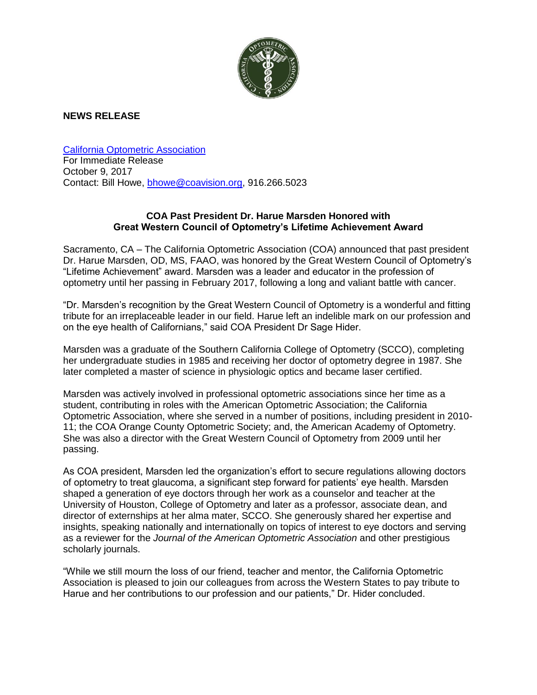

## **NEWS RELEASE**

[California Optometric Association](https://www.coavision.org/i4a/pages/index.cfm?pageid=1) For Immediate Release October 9, 2017 Contact: Bill Howe, [bhowe@coavision.org,](mailto:bhowe@coavision.org) 916.266.5023

## **COA Past President Dr. Harue Marsden Honored with Great Western Council of Optometry's Lifetime Achievement Award**

Sacramento, CA – The California Optometric Association (COA) announced that past president Dr. Harue Marsden, OD, MS, FAAO, was honored by the Great Western Council of Optometry's "Lifetime Achievement" award. Marsden was a leader and educator in the profession of optometry until her passing in February 2017, following a long and valiant battle with cancer.

"Dr. Marsden's recognition by the Great Western Council of Optometry is a wonderful and fitting tribute for an irreplaceable leader in our field. Harue left an indelible mark on our profession and on the eye health of Californians," said COA President Dr Sage Hider.

Marsden was a graduate of the Southern California College of Optometry (SCCO), completing her undergraduate studies in 1985 and receiving her doctor of optometry degree in 1987. She later completed a master of science in physiologic optics and became laser certified.

Marsden was actively involved in professional optometric associations since her time as a student, contributing in roles with the American Optometric Association; the California Optometric Association, where she served in a number of positions, including president in 2010- 11; the COA Orange County Optometric Society; and, the American Academy of Optometry. She was also a director with the Great Western Council of Optometry from 2009 until her passing.

As COA president, Marsden led the organization's effort to secure regulations allowing doctors of optometry to treat glaucoma, a significant step forward for patients' eye health. Marsden shaped a generation of eye doctors through her work as a counselor and teacher at the University of Houston, College of Optometry and later as a professor, associate dean, and director of externships at her alma mater, SCCO. She generously shared her expertise and insights, speaking nationally and internationally on topics of interest to eye doctors and serving as a reviewer for the *Journal of the American Optometric Association* and other prestigious scholarly journals.

"While we still mourn the loss of our friend, teacher and mentor, the California Optometric Association is pleased to join our colleagues from across the Western States to pay tribute to Harue and her contributions to our profession and our patients," Dr. Hider concluded.